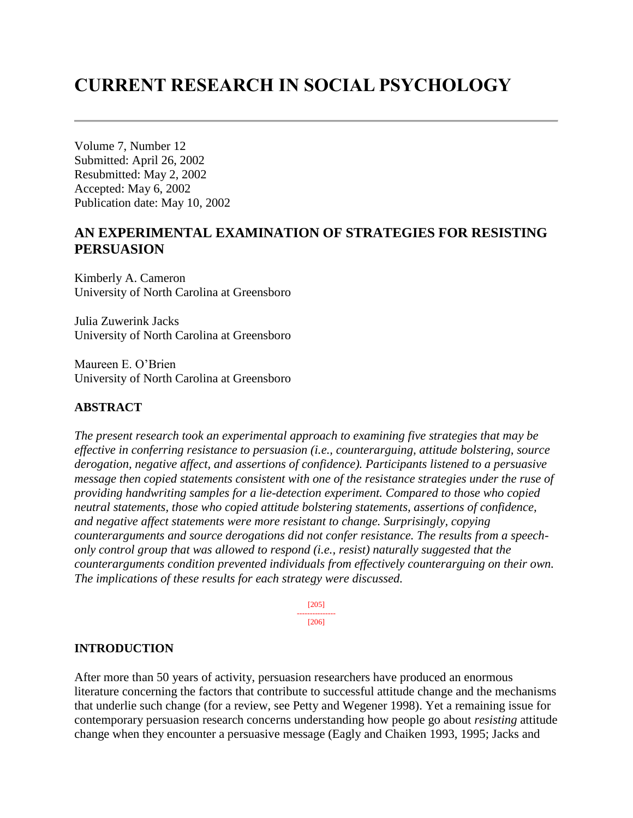# **CURRENT RESEARCH IN SOCIAL PSYCHOLOGY**

Volume 7, Number 12 Submitted: April 26, 2002 Resubmitted: May 2, 2002 Accepted: May 6, 2002 Publication date: May 10, 2002

# **AN EXPERIMENTAL EXAMINATION OF STRATEGIES FOR RESISTING PERSUASION**

Kimberly A. Cameron University of North Carolina at Greensboro

Julia Zuwerink Jacks University of North Carolina at Greensboro

Maureen E. O'Brien University of North Carolina at Greensboro

# **ABSTRACT**

*The present research took an experimental approach to examining five strategies that may be effective in conferring resistance to persuasion (i.e., counterarguing, attitude bolstering, source derogation, negative affect, and assertions of confidence). Participants listened to a persuasive message then copied statements consistent with one of the resistance strategies under the ruse of providing handwriting samples for a lie-detection experiment. Compared to those who copied neutral statements, those who copied attitude bolstering statements, assertions of confidence, and negative affect statements were more resistant to change. Surprisingly, copying counterarguments and source derogations did not confer resistance. The results from a speechonly control group that was allowed to respond (i.e., resist) naturally suggested that the counterarguments condition prevented individuals from effectively counterarguing on their own. The implications of these results for each strategy were discussed.* 

> [205] --------------- [206]

### **INTRODUCTION**

After more than 50 years of activity, persuasion researchers have produced an enormous literature concerning the factors that contribute to successful attitude change and the mechanisms that underlie such change (for a review, see Petty and Wegener 1998). Yet a remaining issue for contemporary persuasion research concerns understanding how people go about *resisting* attitude change when they encounter a persuasive message (Eagly and Chaiken 1993, 1995; Jacks and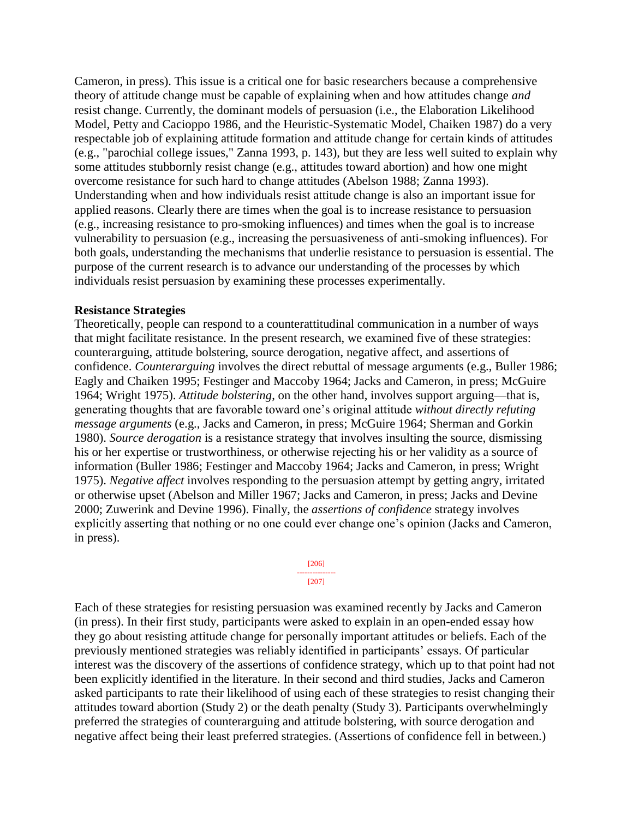Cameron, in press). This issue is a critical one for basic researchers because a comprehensive theory of attitude change must be capable of explaining when and how attitudes change *and* resist change. Currently, the dominant models of persuasion (i.e., the Elaboration Likelihood Model, Petty and Cacioppo 1986, and the Heuristic-Systematic Model, Chaiken 1987) do a very respectable job of explaining attitude formation and attitude change for certain kinds of attitudes (e.g., "parochial college issues," Zanna 1993, p. 143), but they are less well suited to explain why some attitudes stubbornly resist change (e.g., attitudes toward abortion) and how one might overcome resistance for such hard to change attitudes (Abelson 1988; Zanna 1993). Understanding when and how individuals resist attitude change is also an important issue for applied reasons. Clearly there are times when the goal is to increase resistance to persuasion (e.g., increasing resistance to pro-smoking influences) and times when the goal is to increase vulnerability to persuasion (e.g., increasing the persuasiveness of anti-smoking influences). For both goals, understanding the mechanisms that underlie resistance to persuasion is essential. The purpose of the current research is to advance our understanding of the processes by which individuals resist persuasion by examining these processes experimentally.

### **Resistance Strategies**

Theoretically, people can respond to a counterattitudinal communication in a number of ways that might facilitate resistance. In the present research, we examined five of these strategies: counterarguing, attitude bolstering, source derogation, negative affect, and assertions of confidence. *Counterarguing* involves the direct rebuttal of message arguments (e.g., Buller 1986; Eagly and Chaiken 1995; Festinger and Maccoby 1964; Jacks and Cameron, in press; McGuire 1964; Wright 1975). *Attitude bolstering*, on the other hand, involves support arguing—that is, generating thoughts that are favorable toward one's original attitude *without directly refuting message arguments* (e.g., Jacks and Cameron, in press; McGuire 1964; Sherman and Gorkin 1980). *Source derogation* is a resistance strategy that involves insulting the source, dismissing his or her expertise or trustworthiness, or otherwise rejecting his or her validity as a source of information (Buller 1986; Festinger and Maccoby 1964; Jacks and Cameron, in press; Wright 1975). *Negative affect* involves responding to the persuasion attempt by getting angry, irritated or otherwise upset (Abelson and Miller 1967; Jacks and Cameron, in press; Jacks and Devine 2000; Zuwerink and Devine 1996). Finally, the *assertions of confidence* strategy involves explicitly asserting that nothing or no one could ever change one's opinion (Jacks and Cameron, in press).

> [206] --------------- [207]

Each of these strategies for resisting persuasion was examined recently by Jacks and Cameron (in press). In their first study, participants were asked to explain in an open-ended essay how they go about resisting attitude change for personally important attitudes or beliefs. Each of the previously mentioned strategies was reliably identified in participants' essays. Of particular interest was the discovery of the assertions of confidence strategy, which up to that point had not been explicitly identified in the literature. In their second and third studies, Jacks and Cameron asked participants to rate their likelihood of using each of these strategies to resist changing their attitudes toward abortion (Study 2) or the death penalty (Study 3). Participants overwhelmingly preferred the strategies of counterarguing and attitude bolstering, with source derogation and negative affect being their least preferred strategies. (Assertions of confidence fell in between.)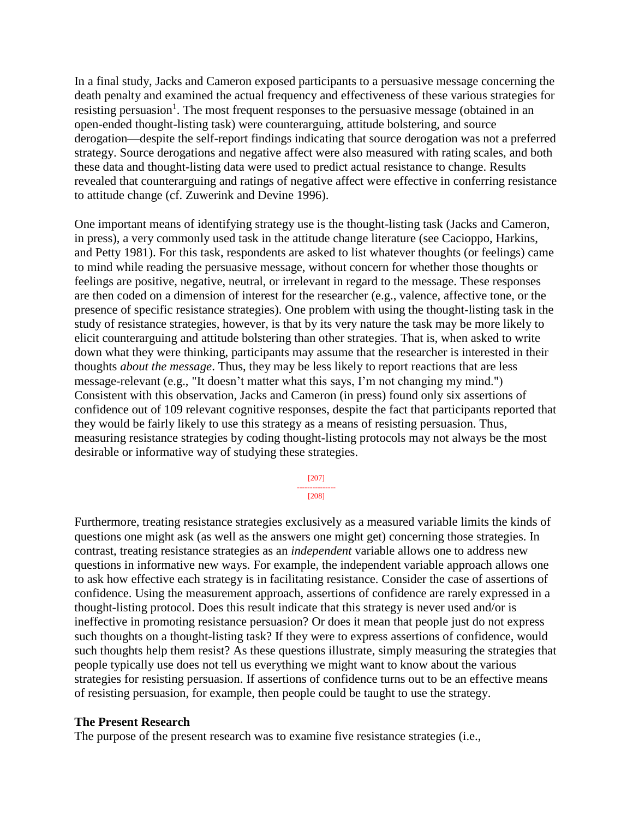In a final study, Jacks and Cameron exposed participants to a persuasive message concerning the death penalty and examined the actual frequency and effectiveness of these various strategies for resisting persuasion<sup>1</sup>. The most frequent responses to the persuasive message (obtained in an open-ended thought-listing task) were counterarguing, attitude bolstering, and source derogation—despite the self-report findings indicating that source derogation was not a preferred strategy. Source derogations and negative affect were also measured with rating scales, and both these data and thought-listing data were used to predict actual resistance to change. Results revealed that counterarguing and ratings of negative affect were effective in conferring resistance to attitude change (cf. Zuwerink and Devine 1996).

One important means of identifying strategy use is the thought-listing task (Jacks and Cameron, in press), a very commonly used task in the attitude change literature (see Cacioppo, Harkins, and Petty 1981). For this task, respondents are asked to list whatever thoughts (or feelings) came to mind while reading the persuasive message, without concern for whether those thoughts or feelings are positive, negative, neutral, or irrelevant in regard to the message. These responses are then coded on a dimension of interest for the researcher (e.g., valence, affective tone, or the presence of specific resistance strategies). One problem with using the thought-listing task in the study of resistance strategies, however, is that by its very nature the task may be more likely to elicit counterarguing and attitude bolstering than other strategies. That is, when asked to write down what they were thinking, participants may assume that the researcher is interested in their thoughts *about the message*. Thus, they may be less likely to report reactions that are less message-relevant (e.g., "It doesn't matter what this says, I'm not changing my mind.") Consistent with this observation, Jacks and Cameron (in press) found only six assertions of confidence out of 109 relevant cognitive responses, despite the fact that participants reported that they would be fairly likely to use this strategy as a means of resisting persuasion. Thus, measuring resistance strategies by coding thought-listing protocols may not always be the most desirable or informative way of studying these strategies.

> [207] --------------- [208]

Furthermore, treating resistance strategies exclusively as a measured variable limits the kinds of questions one might ask (as well as the answers one might get) concerning those strategies. In contrast, treating resistance strategies as an *independent* variable allows one to address new questions in informative new ways. For example, the independent variable approach allows one to ask how effective each strategy is in facilitating resistance. Consider the case of assertions of confidence. Using the measurement approach, assertions of confidence are rarely expressed in a thought-listing protocol. Does this result indicate that this strategy is never used and/or is ineffective in promoting resistance persuasion? Or does it mean that people just do not express such thoughts on a thought-listing task? If they were to express assertions of confidence, would such thoughts help them resist? As these questions illustrate, simply measuring the strategies that people typically use does not tell us everything we might want to know about the various strategies for resisting persuasion. If assertions of confidence turns out to be an effective means of resisting persuasion, for example, then people could be taught to use the strategy.

### **The Present Research**

The purpose of the present research was to examine five resistance strategies (i.e.,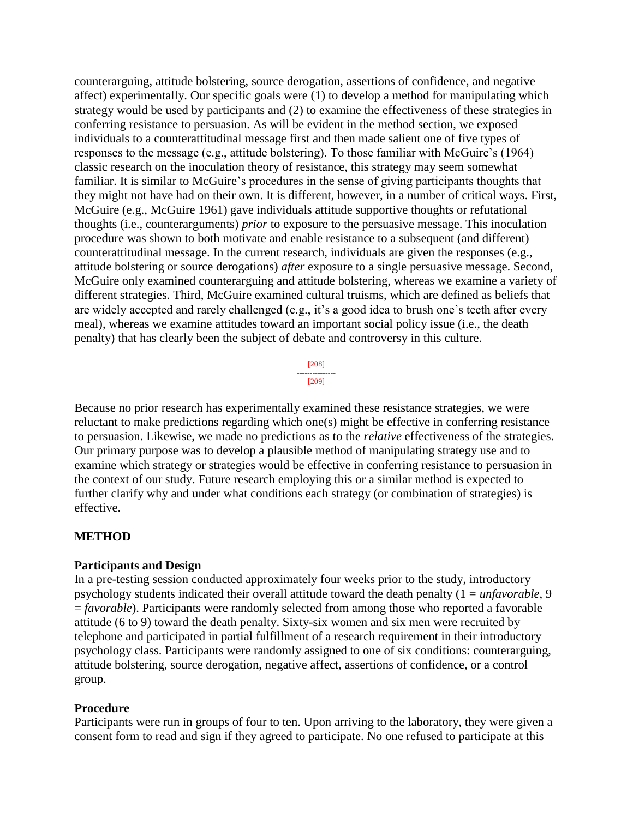counterarguing, attitude bolstering, source derogation, assertions of confidence, and negative affect) experimentally. Our specific goals were (1) to develop a method for manipulating which strategy would be used by participants and (2) to examine the effectiveness of these strategies in conferring resistance to persuasion. As will be evident in the method section, we exposed individuals to a counterattitudinal message first and then made salient one of five types of responses to the message (e.g., attitude bolstering). To those familiar with McGuire's (1964) classic research on the inoculation theory of resistance, this strategy may seem somewhat familiar. It is similar to McGuire's procedures in the sense of giving participants thoughts that they might not have had on their own. It is different, however, in a number of critical ways. First, McGuire (e.g., McGuire 1961) gave individuals attitude supportive thoughts or refutational thoughts (i.e., counterarguments) *prior* to exposure to the persuasive message. This inoculation procedure was shown to both motivate and enable resistance to a subsequent (and different) counterattitudinal message. In the current research, individuals are given the responses (e.g., attitude bolstering or source derogations) *after* exposure to a single persuasive message. Second, McGuire only examined counterarguing and attitude bolstering, whereas we examine a variety of different strategies. Third, McGuire examined cultural truisms, which are defined as beliefs that are widely accepted and rarely challenged (e.g., it's a good idea to brush one's teeth after every meal), whereas we examine attitudes toward an important social policy issue (i.e., the death penalty) that has clearly been the subject of debate and controversy in this culture.

> [208] --------------- [209]

Because no prior research has experimentally examined these resistance strategies, we were reluctant to make predictions regarding which one(s) might be effective in conferring resistance to persuasion. Likewise, we made no predictions as to the *relative* effectiveness of the strategies. Our primary purpose was to develop a plausible method of manipulating strategy use and to examine which strategy or strategies would be effective in conferring resistance to persuasion in the context of our study. Future research employing this or a similar method is expected to further clarify why and under what conditions each strategy (or combination of strategies) is effective.

### **METHOD**

### **Participants and Design**

In a pre-testing session conducted approximately four weeks prior to the study, introductory psychology students indicated their overall attitude toward the death penalty (1 = *unfavorable*, 9 = *favorable*). Participants were randomly selected from among those who reported a favorable attitude (6 to 9) toward the death penalty. Sixty-six women and six men were recruited by telephone and participated in partial fulfillment of a research requirement in their introductory psychology class. Participants were randomly assigned to one of six conditions: counterarguing, attitude bolstering, source derogation, negative affect, assertions of confidence, or a control group.

### **Procedure**

Participants were run in groups of four to ten. Upon arriving to the laboratory, they were given a consent form to read and sign if they agreed to participate. No one refused to participate at this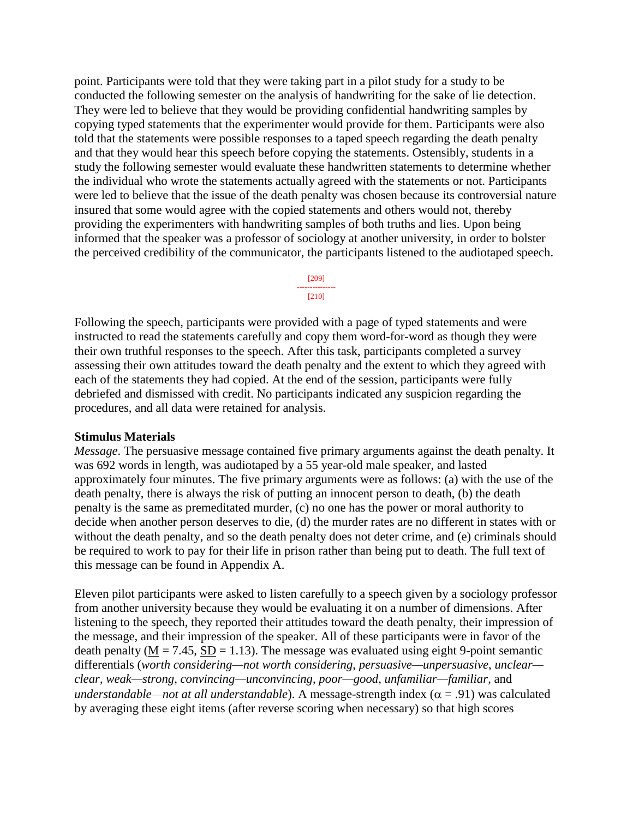point. Participants were told that they were taking part in a pilot study for a study to be conducted the following semester on the analysis of handwriting for the sake of lie detection. They were led to believe that they would be providing confidential handwriting samples by copying typed statements that the experimenter would provide for them. Participants were also told that the statements were possible responses to a taped speech regarding the death penalty and that they would hear this speech before copying the statements. Ostensibly, students in a study the following semester would evaluate these handwritten statements to determine whether the individual who wrote the statements actually agreed with the statements or not. Participants were led to believe that the issue of the death penalty was chosen because its controversial nature insured that some would agree with the copied statements and others would not, thereby providing the experimenters with handwriting samples of both truths and lies. Upon being informed that the speaker was a professor of sociology at another university, in order to bolster the perceived credibility of the communicator, the participants listened to the audiotaped speech.

> [209] --------------- [210]

Following the speech, participants were provided with a page of typed statements and were instructed to read the statements carefully and copy them word-for-word as though they were their own truthful responses to the speech. After this task, participants completed a survey assessing their own attitudes toward the death penalty and the extent to which they agreed with each of the statements they had copied. At the end of the session, participants were fully debriefed and dismissed with credit. No participants indicated any suspicion regarding the procedures, and all data were retained for analysis.

### **Stimulus Materials**

*Message*. The persuasive message contained five primary arguments against the death penalty. It was 692 words in length, was audiotaped by a 55 year-old male speaker, and lasted approximately four minutes. The five primary arguments were as follows: (a) with the use of the death penalty, there is always the risk of putting an innocent person to death, (b) the death penalty is the same as premeditated murder, (c) no one has the power or moral authority to decide when another person deserves to die, (d) the murder rates are no different in states with or without the death penalty, and so the death penalty does not deter crime, and (e) criminals should be required to work to pay for their life in prison rather than being put to death. The full text of this message can be found in Appendix A.

Eleven pilot participants were asked to listen carefully to a speech given by a sociology professor from another university because they would be evaluating it on a number of dimensions. After listening to the speech, they reported their attitudes toward the death penalty, their impression of the message, and their impression of the speaker. All of these participants were in favor of the death penalty ( $M = 7.45$ ,  $SD = 1.13$ ). The message was evaluated using eight 9-point semantic differentials (*worth considering—not worth considering*, *persuasive—unpersuasive*, *unclear clear*, *weak—strong*, *convincing—unconvincing*, *poor—good*, *unfamiliar—familiar*, and *understandable—not at all understandable*). A message-strength index ( $\alpha$  = .91) was calculated by averaging these eight items (after reverse scoring when necessary) so that high scores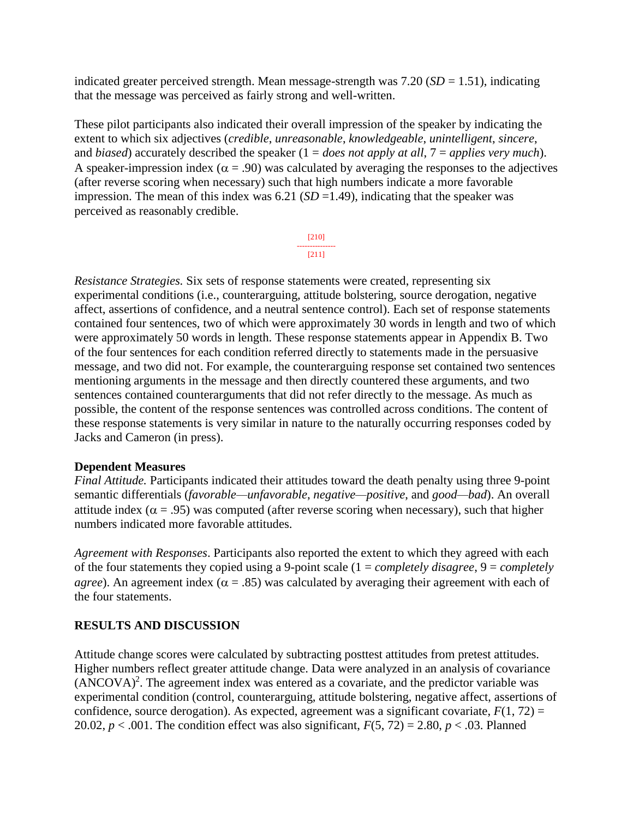indicated greater perceived strength. Mean message-strength was  $7.20$  ( $SD = 1.51$ ), indicating that the message was perceived as fairly strong and well-written.

These pilot participants also indicated their overall impression of the speaker by indicating the extent to which six adjectives (*credible*, *unreasonable*, *knowledgeable*, *unintelligent*, *sincere*, and *biased*) accurately described the speaker (1 = *does not apply at all*, 7 = *applies very much*). A speaker-impression index ( $\alpha$  = .90) was calculated by averaging the responses to the adjectives (after reverse scoring when necessary) such that high numbers indicate a more favorable impression. The mean of this index was  $6.21$  (*SD* =1.49), indicating that the speaker was perceived as reasonably credible.

> [210] --------------- [211]

*Resistance Strategies.* Six sets of response statements were created, representing six experimental conditions (i.e., counterarguing, attitude bolstering, source derogation, negative affect, assertions of confidence, and a neutral sentence control). Each set of response statements contained four sentences, two of which were approximately 30 words in length and two of which were approximately 50 words in length. These response statements appear in Appendix B. Two of the four sentences for each condition referred directly to statements made in the persuasive message, and two did not. For example, the counterarguing response set contained two sentences mentioning arguments in the message and then directly countered these arguments, and two sentences contained counterarguments that did not refer directly to the message. As much as possible, the content of the response sentences was controlled across conditions. The content of these response statements is very similar in nature to the naturally occurring responses coded by Jacks and Cameron (in press).

### **Dependent Measures**

*Final Attitude.* Participants indicated their attitudes toward the death penalty using three 9-point semantic differentials (*favorable—unfavorable*, *negative—positive*, and *good—bad*). An overall attitude index ( $\alpha$  = .95) was computed (after reverse scoring when necessary), such that higher numbers indicated more favorable attitudes.

*Agreement with Responses*. Participants also reported the extent to which they agreed with each of the four statements they copied using a 9-point scale (1 = *completely disagree*, 9 = *completely agree*). An agreement index ( $\alpha$  = .85) was calculated by averaging their agreement with each of the four statements.

# **RESULTS AND DISCUSSION**

Attitude change scores were calculated by subtracting posttest attitudes from pretest attitudes. Higher numbers reflect greater attitude change. Data were analyzed in an analysis of covariance  $(ANCOVA)^2$ . The agreement index was entered as a covariate, and the predictor variable was experimental condition (control, counterarguing, attitude bolstering, negative affect, assertions of confidence, source derogation). As expected, agreement was a significant covariate,  $F(1, 72) =$ 20.02,  $p < .001$ . The condition effect was also significant,  $F(5, 72) = 2.80$ ,  $p < .03$ . Planned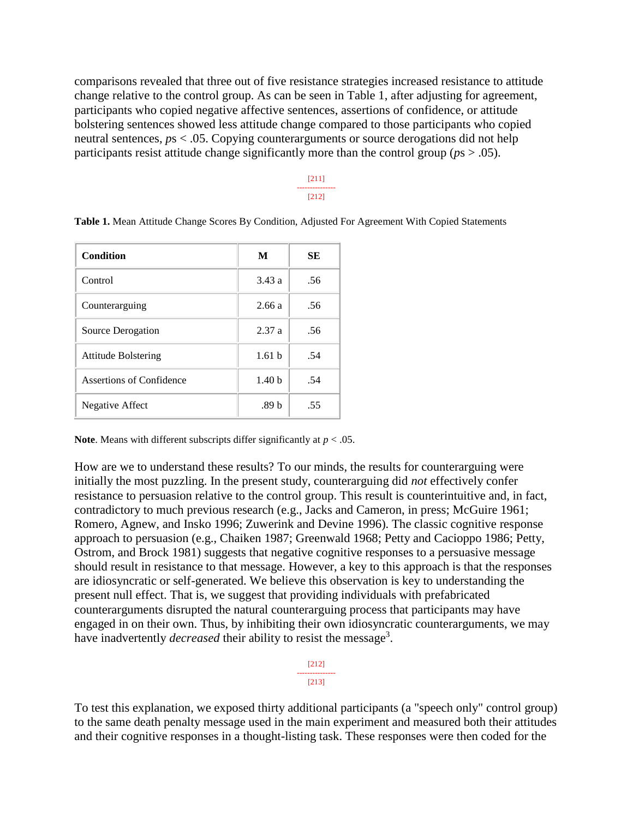comparisons revealed that three out of five resistance strategies increased resistance to attitude change relative to the control group. As can be seen in Table 1, after adjusting for agreement, participants who copied negative affective sentences, assertions of confidence, or attitude bolstering sentences showed less attitude change compared to those participants who copied neutral sentences, *p*s < .05. Copying counterarguments or source derogations did not help participants resist attitude change significantly more than the control group ( $p_s$   $> .05$ ).

> [211] --------------- [212]

| Condition                  | M                 | SЕ  |
|----------------------------|-------------------|-----|
| Control                    | 3.43a             | .56 |
| Counterarguing             | 2.66a             | .56 |
| Source Derogation          | 2.37a             | .56 |
| <b>Attitude Bolstering</b> | 1.61 <sub>b</sub> | .54 |
| Assertions of Confidence   | 1.40 <sub>b</sub> | .54 |
| Negative Affect            | .89 b             | .55 |

**Table 1.** Mean Attitude Change Scores By Condition, Adjusted For Agreement With Copied Statements

**Note**. Means with different subscripts differ significantly at  $p < .05$ .

How are we to understand these results? To our minds, the results for counterarguing were initially the most puzzling. In the present study, counterarguing did *not* effectively confer resistance to persuasion relative to the control group. This result is counterintuitive and, in fact, contradictory to much previous research (e.g., Jacks and Cameron, in press; McGuire 1961; Romero, Agnew, and Insko 1996; Zuwerink and Devine 1996). The classic cognitive response approach to persuasion (e.g., Chaiken 1987; Greenwald 1968; Petty and Cacioppo 1986; Petty, Ostrom, and Brock 1981) suggests that negative cognitive responses to a persuasive message should result in resistance to that message. However, a key to this approach is that the responses are idiosyncratic or self-generated. We believe this observation is key to understanding the present null effect. That is, we suggest that providing individuals with prefabricated counterarguments disrupted the natural counterarguing process that participants may have engaged in on their own. Thus, by inhibiting their own idiosyncratic counterarguments, we may have inadvertently *decreased* their ability to resist the message<sup>3</sup>.

> [212] --------------- [213]

To test this explanation, we exposed thirty additional participants (a "speech only" control group) to the same death penalty message used in the main experiment and measured both their attitudes and their cognitive responses in a thought-listing task. These responses were then coded for the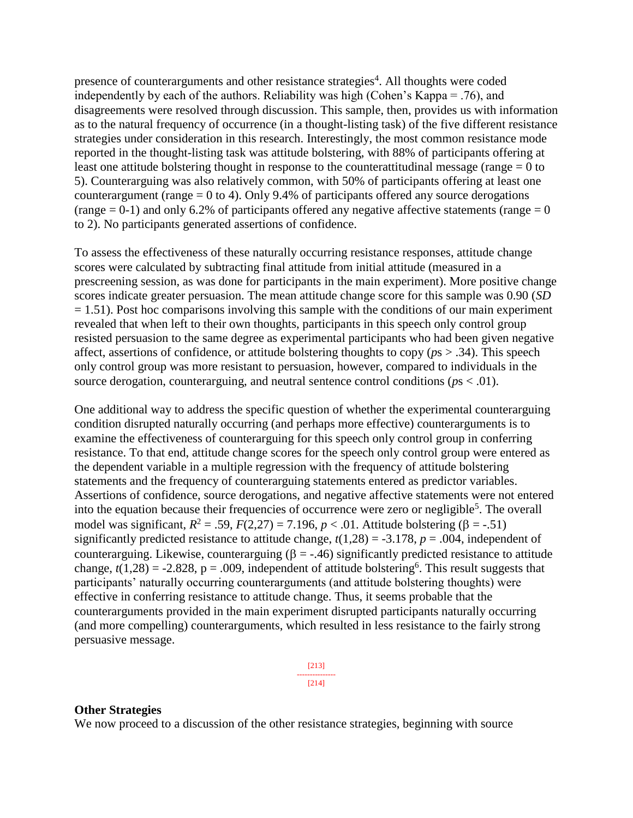presence of counterarguments and other resistance strategies<sup>4</sup>. All thoughts were coded independently by each of the authors. Reliability was high (Cohen's Kappa = .76), and disagreements were resolved through discussion. This sample, then, provides us with information as to the natural frequency of occurrence (in a thought-listing task) of the five different resistance strategies under consideration in this research. Interestingly, the most common resistance mode reported in the thought-listing task was attitude bolstering, with 88% of participants offering at least one attitude bolstering thought in response to the counterattitudinal message (range  $= 0$  to 5). Counterarguing was also relatively common, with 50% of participants offering at least one counterargument (range  $= 0$  to 4). Only 9.4% of participants offered any source derogations (range  $= 0-1$ ) and only 6.2% of participants offered any negative affective statements (range  $= 0$ ) to 2). No participants generated assertions of confidence.

To assess the effectiveness of these naturally occurring resistance responses, attitude change scores were calculated by subtracting final attitude from initial attitude (measured in a prescreening session, as was done for participants in the main experiment). More positive change scores indicate greater persuasion. The mean attitude change score for this sample was 0.90 (*SD*  $= 1.51$ ). Post hoc comparisons involving this sample with the conditions of our main experiment revealed that when left to their own thoughts, participants in this speech only control group resisted persuasion to the same degree as experimental participants who had been given negative affect, assertions of confidence, or attitude bolstering thoughts to copy (*p*s > .34). This speech only control group was more resistant to persuasion, however, compared to individuals in the source derogation, counterarguing, and neutral sentence control conditions ( $p_s < .01$ ).

One additional way to address the specific question of whether the experimental counterarguing condition disrupted naturally occurring (and perhaps more effective) counterarguments is to examine the effectiveness of counterarguing for this speech only control group in conferring resistance. To that end, attitude change scores for the speech only control group were entered as the dependent variable in a multiple regression with the frequency of attitude bolstering statements and the frequency of counterarguing statements entered as predictor variables. Assertions of confidence, source derogations, and negative affective statements were not entered into the equation because their frequencies of occurrence were zero or negligible<sup>5</sup>. The overall model was significant,  $R^2 = .59$ ,  $F(2,27) = 7.196$ ,  $p < .01$ . Attitude bolstering ( $\beta = -.51$ ) significantly predicted resistance to attitude change,  $t(1,28) = -3.178$ ,  $p = .004$ , independent of counterarguing. Likewise, counterarguing  $(\beta = -0.46)$  significantly predicted resistance to attitude change,  $t(1,28) = -2.828$ ,  $p = .009$ , independent of attitude bolstering<sup>6</sup>. This result suggests that participants' naturally occurring counterarguments (and attitude bolstering thoughts) were effective in conferring resistance to attitude change. Thus, it seems probable that the counterarguments provided in the main experiment disrupted participants naturally occurring (and more compelling) counterarguments, which resulted in less resistance to the fairly strong persuasive message.

> [213] --------------- [214]

### **Other Strategies**

We now proceed to a discussion of the other resistance strategies, beginning with source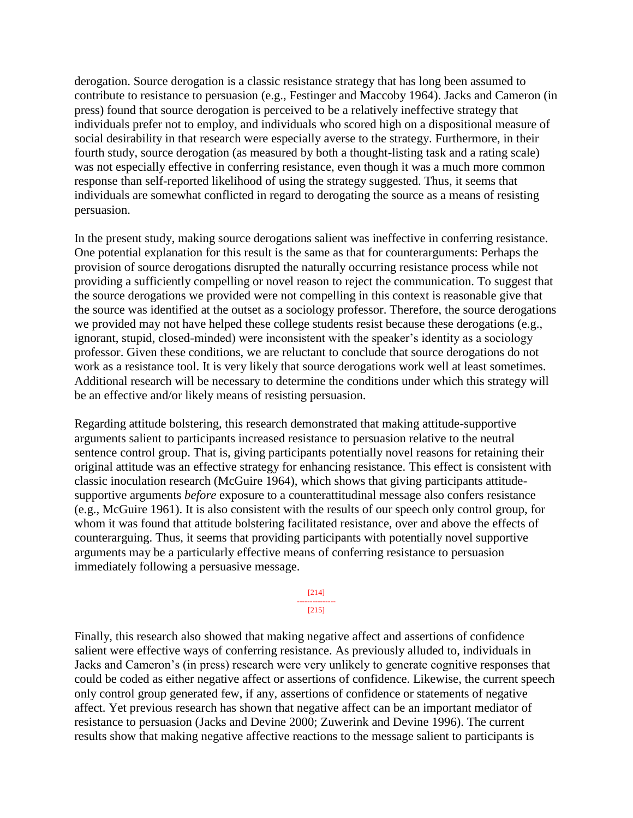derogation. Source derogation is a classic resistance strategy that has long been assumed to contribute to resistance to persuasion (e.g., Festinger and Maccoby 1964). Jacks and Cameron (in press) found that source derogation is perceived to be a relatively ineffective strategy that individuals prefer not to employ, and individuals who scored high on a dispositional measure of social desirability in that research were especially averse to the strategy. Furthermore, in their fourth study, source derogation (as measured by both a thought-listing task and a rating scale) was not especially effective in conferring resistance, even though it was a much more common response than self-reported likelihood of using the strategy suggested. Thus, it seems that individuals are somewhat conflicted in regard to derogating the source as a means of resisting persuasion.

In the present study, making source derogations salient was ineffective in conferring resistance. One potential explanation for this result is the same as that for counterarguments: Perhaps the provision of source derogations disrupted the naturally occurring resistance process while not providing a sufficiently compelling or novel reason to reject the communication. To suggest that the source derogations we provided were not compelling in this context is reasonable give that the source was identified at the outset as a sociology professor. Therefore, the source derogations we provided may not have helped these college students resist because these derogations (e.g., ignorant, stupid, closed-minded) were inconsistent with the speaker's identity as a sociology professor. Given these conditions, we are reluctant to conclude that source derogations do not work as a resistance tool. It is very likely that source derogations work well at least sometimes. Additional research will be necessary to determine the conditions under which this strategy will be an effective and/or likely means of resisting persuasion.

Regarding attitude bolstering, this research demonstrated that making attitude-supportive arguments salient to participants increased resistance to persuasion relative to the neutral sentence control group. That is, giving participants potentially novel reasons for retaining their original attitude was an effective strategy for enhancing resistance. This effect is consistent with classic inoculation research (McGuire 1964), which shows that giving participants attitudesupportive arguments *before* exposure to a counterattitudinal message also confers resistance (e.g., McGuire 1961). It is also consistent with the results of our speech only control group, for whom it was found that attitude bolstering facilitated resistance, over and above the effects of counterarguing. Thus, it seems that providing participants with potentially novel supportive arguments may be a particularly effective means of conferring resistance to persuasion immediately following a persuasive message.

> [214] --------------- [215]

Finally, this research also showed that making negative affect and assertions of confidence salient were effective ways of conferring resistance. As previously alluded to, individuals in Jacks and Cameron's (in press) research were very unlikely to generate cognitive responses that could be coded as either negative affect or assertions of confidence. Likewise, the current speech only control group generated few, if any, assertions of confidence or statements of negative affect. Yet previous research has shown that negative affect can be an important mediator of resistance to persuasion (Jacks and Devine 2000; Zuwerink and Devine 1996). The current results show that making negative affective reactions to the message salient to participants is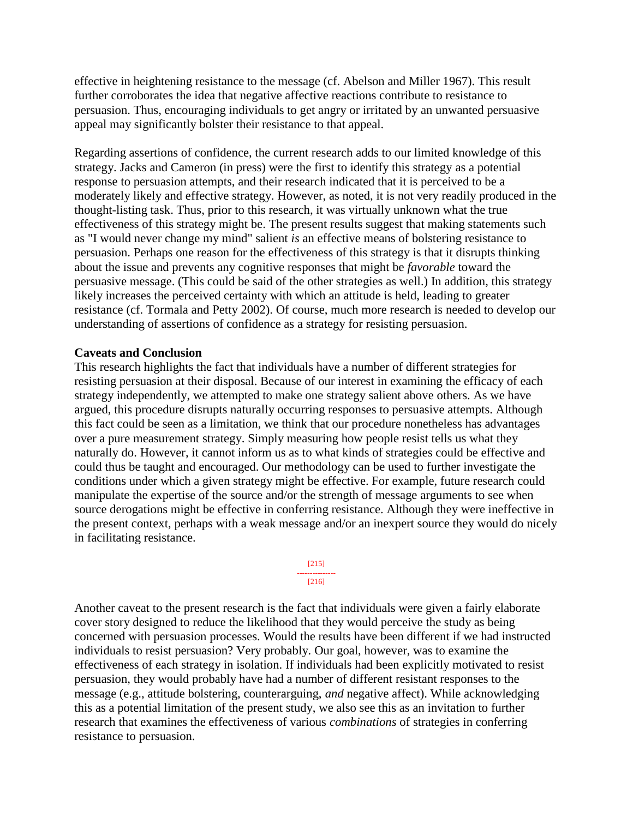effective in heightening resistance to the message (cf. Abelson and Miller 1967). This result further corroborates the idea that negative affective reactions contribute to resistance to persuasion. Thus, encouraging individuals to get angry or irritated by an unwanted persuasive appeal may significantly bolster their resistance to that appeal.

Regarding assertions of confidence, the current research adds to our limited knowledge of this strategy. Jacks and Cameron (in press) were the first to identify this strategy as a potential response to persuasion attempts, and their research indicated that it is perceived to be a moderately likely and effective strategy. However, as noted, it is not very readily produced in the thought-listing task. Thus, prior to this research, it was virtually unknown what the true effectiveness of this strategy might be. The present results suggest that making statements such as "I would never change my mind" salient *is* an effective means of bolstering resistance to persuasion. Perhaps one reason for the effectiveness of this strategy is that it disrupts thinking about the issue and prevents any cognitive responses that might be *favorable* toward the persuasive message. (This could be said of the other strategies as well.) In addition, this strategy likely increases the perceived certainty with which an attitude is held, leading to greater resistance (cf. Tormala and Petty 2002). Of course, much more research is needed to develop our understanding of assertions of confidence as a strategy for resisting persuasion.

### **Caveats and Conclusion**

This research highlights the fact that individuals have a number of different strategies for resisting persuasion at their disposal. Because of our interest in examining the efficacy of each strategy independently, we attempted to make one strategy salient above others. As we have argued, this procedure disrupts naturally occurring responses to persuasive attempts. Although this fact could be seen as a limitation, we think that our procedure nonetheless has advantages over a pure measurement strategy. Simply measuring how people resist tells us what they naturally do. However, it cannot inform us as to what kinds of strategies could be effective and could thus be taught and encouraged. Our methodology can be used to further investigate the conditions under which a given strategy might be effective. For example, future research could manipulate the expertise of the source and/or the strength of message arguments to see when source derogations might be effective in conferring resistance. Although they were ineffective in the present context, perhaps with a weak message and/or an inexpert source they would do nicely in facilitating resistance.

> [215] --------------- [216]

Another caveat to the present research is the fact that individuals were given a fairly elaborate cover story designed to reduce the likelihood that they would perceive the study as being concerned with persuasion processes. Would the results have been different if we had instructed individuals to resist persuasion? Very probably. Our goal, however, was to examine the effectiveness of each strategy in isolation. If individuals had been explicitly motivated to resist persuasion, they would probably have had a number of different resistant responses to the message (e.g., attitude bolstering, counterarguing, *and* negative affect). While acknowledging this as a potential limitation of the present study, we also see this as an invitation to further research that examines the effectiveness of various *combinations* of strategies in conferring resistance to persuasion.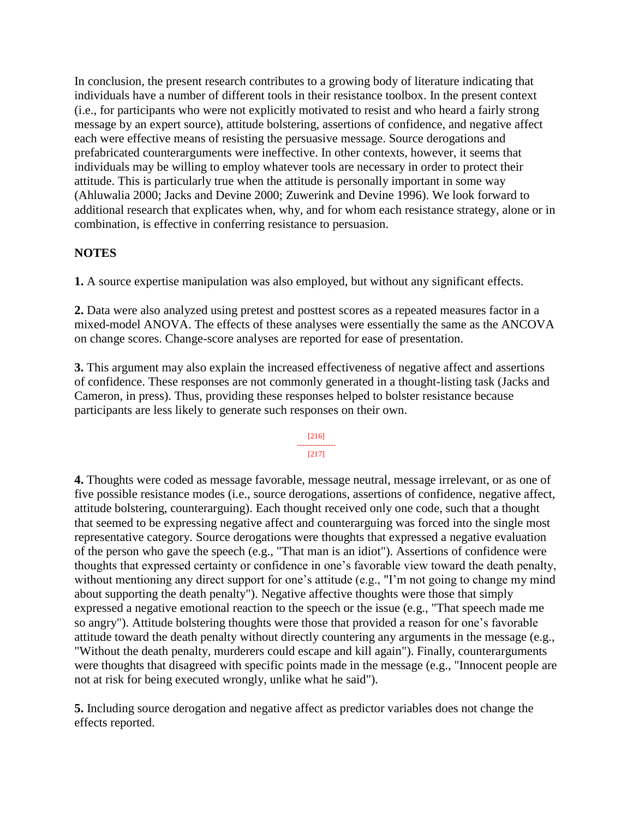In conclusion, the present research contributes to a growing body of literature indicating that individuals have a number of different tools in their resistance toolbox. In the present context (i.e., for participants who were not explicitly motivated to resist and who heard a fairly strong message by an expert source), attitude bolstering, assertions of confidence, and negative affect each were effective means of resisting the persuasive message. Source derogations and prefabricated counterarguments were ineffective. In other contexts, however, it seems that individuals may be willing to employ whatever tools are necessary in order to protect their attitude. This is particularly true when the attitude is personally important in some way (Ahluwalia 2000; Jacks and Devine 2000; Zuwerink and Devine 1996). We look forward to additional research that explicates when, why, and for whom each resistance strategy, alone or in combination, is effective in conferring resistance to persuasion.

## **NOTES**

**1.** A source expertise manipulation was also employed, but without any significant effects.

**2.** Data were also analyzed using pretest and posttest scores as a repeated measures factor in a mixed-model ANOVA. The effects of these analyses were essentially the same as the ANCOVA on change scores. Change-score analyses are reported for ease of presentation.

**3.** This argument may also explain the increased effectiveness of negative affect and assertions of confidence. These responses are not commonly generated in a thought-listing task (Jacks and Cameron, in press). Thus, providing these responses helped to bolster resistance because participants are less likely to generate such responses on their own.

#### [216] ---------------

### [217]

**4.** Thoughts were coded as message favorable, message neutral, message irrelevant, or as one of five possible resistance modes (i.e., source derogations, assertions of confidence, negative affect, attitude bolstering, counterarguing). Each thought received only one code, such that a thought that seemed to be expressing negative affect and counterarguing was forced into the single most representative category. Source derogations were thoughts that expressed a negative evaluation of the person who gave the speech (e.g., "That man is an idiot"). Assertions of confidence were thoughts that expressed certainty or confidence in one's favorable view toward the death penalty, without mentioning any direct support for one's attitude (e.g., "I'm not going to change my mind about supporting the death penalty"). Negative affective thoughts were those that simply expressed a negative emotional reaction to the speech or the issue (e.g., "That speech made me so angry"). Attitude bolstering thoughts were those that provided a reason for one's favorable attitude toward the death penalty without directly countering any arguments in the message (e.g., "Without the death penalty, murderers could escape and kill again"). Finally, counterarguments were thoughts that disagreed with specific points made in the message (e.g., "Innocent people are not at risk for being executed wrongly, unlike what he said").

**5.** Including source derogation and negative affect as predictor variables does not change the effects reported.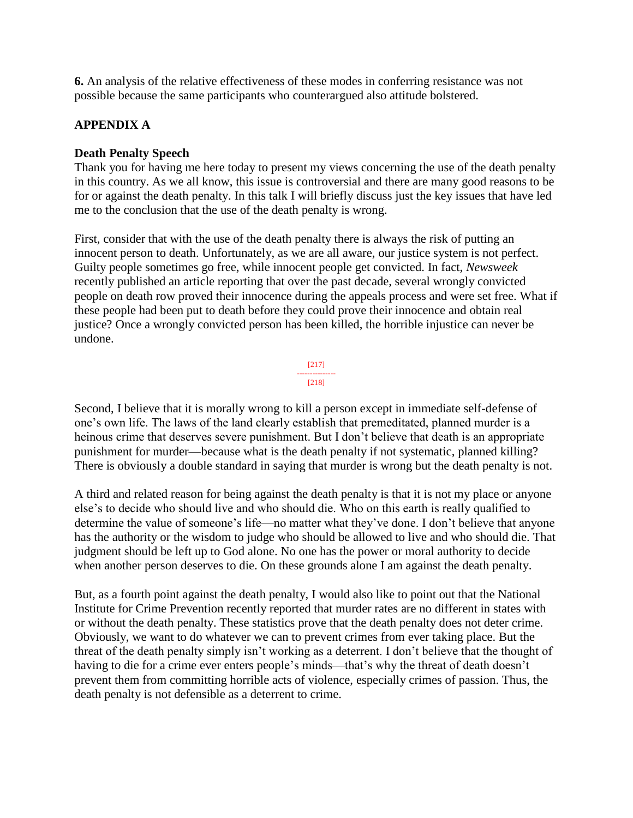**6.** An analysis of the relative effectiveness of these modes in conferring resistance was not possible because the same participants who counterargued also attitude bolstered.

# **APPENDIX A**

## **Death Penalty Speech**

Thank you for having me here today to present my views concerning the use of the death penalty in this country. As we all know, this issue is controversial and there are many good reasons to be for or against the death penalty. In this talk I will briefly discuss just the key issues that have led me to the conclusion that the use of the death penalty is wrong.

First, consider that with the use of the death penalty there is always the risk of putting an innocent person to death. Unfortunately, as we are all aware, our justice system is not perfect. Guilty people sometimes go free, while innocent people get convicted. In fact, *Newsweek* recently published an article reporting that over the past decade, several wrongly convicted people on death row proved their innocence during the appeals process and were set free. What if these people had been put to death before they could prove their innocence and obtain real justice? Once a wrongly convicted person has been killed, the horrible injustice can never be undone.



Second, I believe that it is morally wrong to kill a person except in immediate self-defense of one's own life. The laws of the land clearly establish that premeditated, planned murder is a heinous crime that deserves severe punishment. But I don't believe that death is an appropriate punishment for murder—because what is the death penalty if not systematic, planned killing? There is obviously a double standard in saying that murder is wrong but the death penalty is not.

A third and related reason for being against the death penalty is that it is not my place or anyone else's to decide who should live and who should die. Who on this earth is really qualified to determine the value of someone's life—no matter what they've done. I don't believe that anyone has the authority or the wisdom to judge who should be allowed to live and who should die. That judgment should be left up to God alone. No one has the power or moral authority to decide when another person deserves to die. On these grounds alone I am against the death penalty.

But, as a fourth point against the death penalty, I would also like to point out that the National Institute for Crime Prevention recently reported that murder rates are no different in states with or without the death penalty. These statistics prove that the death penalty does not deter crime. Obviously, we want to do whatever we can to prevent crimes from ever taking place. But the threat of the death penalty simply isn't working as a deterrent. I don't believe that the thought of having to die for a crime ever enters people's minds—that's why the threat of death doesn't prevent them from committing horrible acts of violence, especially crimes of passion. Thus, the death penalty is not defensible as a deterrent to crime.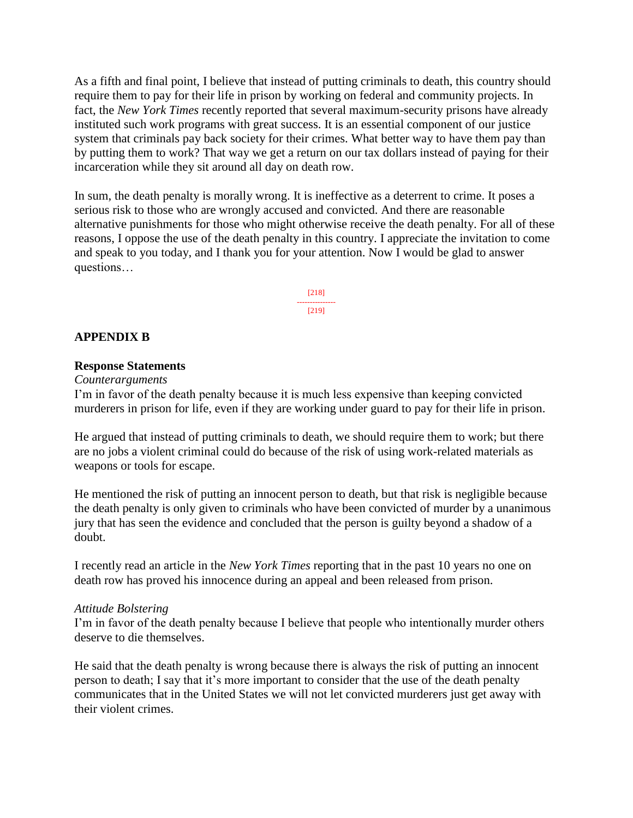As a fifth and final point, I believe that instead of putting criminals to death, this country should require them to pay for their life in prison by working on federal and community projects. In fact, the *New York Times* recently reported that several maximum-security prisons have already instituted such work programs with great success. It is an essential component of our justice system that criminals pay back society for their crimes. What better way to have them pay than by putting them to work? That way we get a return on our tax dollars instead of paying for their incarceration while they sit around all day on death row.

In sum, the death penalty is morally wrong. It is ineffective as a deterrent to crime. It poses a serious risk to those who are wrongly accused and convicted. And there are reasonable alternative punishments for those who might otherwise receive the death penalty. For all of these reasons, I oppose the use of the death penalty in this country. I appreciate the invitation to come and speak to you today, and I thank you for your attention. Now I would be glad to answer questions…

> [218] --------------- [219]

### **APPENDIX B**

### **Response Statements**

*Counterarguments*

I'm in favor of the death penalty because it is much less expensive than keeping convicted murderers in prison for life, even if they are working under guard to pay for their life in prison.

He argued that instead of putting criminals to death, we should require them to work; but there are no jobs a violent criminal could do because of the risk of using work-related materials as weapons or tools for escape.

He mentioned the risk of putting an innocent person to death, but that risk is negligible because the death penalty is only given to criminals who have been convicted of murder by a unanimous jury that has seen the evidence and concluded that the person is guilty beyond a shadow of a doubt.

I recently read an article in the *New York Times* reporting that in the past 10 years no one on death row has proved his innocence during an appeal and been released from prison.

### *Attitude Bolstering*

I'm in favor of the death penalty because I believe that people who intentionally murder others deserve to die themselves.

He said that the death penalty is wrong because there is always the risk of putting an innocent person to death; I say that it's more important to consider that the use of the death penalty communicates that in the United States we will not let convicted murderers just get away with their violent crimes.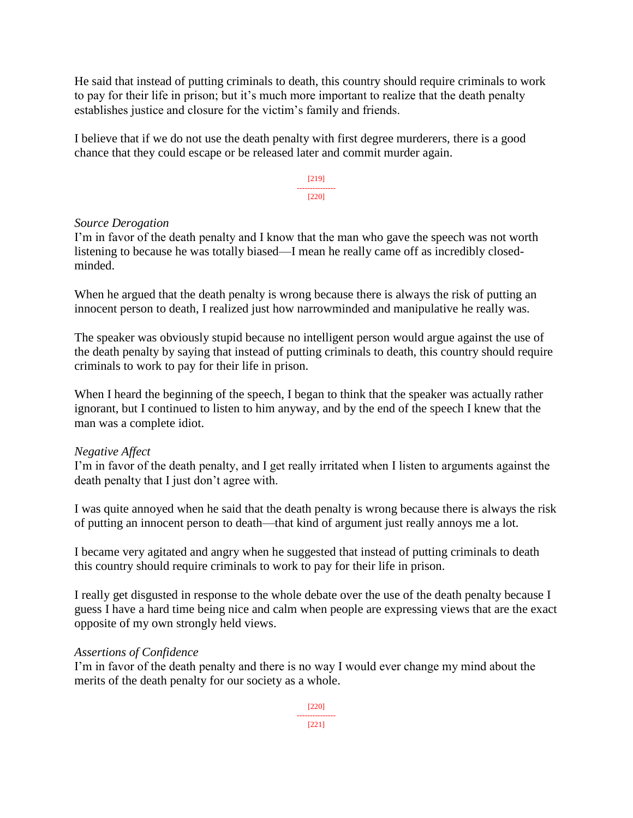He said that instead of putting criminals to death, this country should require criminals to work to pay for their life in prison; but it's much more important to realize that the death penalty establishes justice and closure for the victim's family and friends.

I believe that if we do not use the death penalty with first degree murderers, there is a good chance that they could escape or be released later and commit murder again.

> [219] --------------- [220]

## *Source Derogation*

I'm in favor of the death penalty and I know that the man who gave the speech was not worth listening to because he was totally biased—I mean he really came off as incredibly closedminded.

When he argued that the death penalty is wrong because there is always the risk of putting an innocent person to death, I realized just how narrowminded and manipulative he really was.

The speaker was obviously stupid because no intelligent person would argue against the use of the death penalty by saying that instead of putting criminals to death, this country should require criminals to work to pay for their life in prison.

When I heard the beginning of the speech, I began to think that the speaker was actually rather ignorant, but I continued to listen to him anyway, and by the end of the speech I knew that the man was a complete idiot.

# *Negative Affect*

I'm in favor of the death penalty, and I get really irritated when I listen to arguments against the death penalty that I just don't agree with.

I was quite annoyed when he said that the death penalty is wrong because there is always the risk of putting an innocent person to death—that kind of argument just really annoys me a lot.

I became very agitated and angry when he suggested that instead of putting criminals to death this country should require criminals to work to pay for their life in prison.

I really get disgusted in response to the whole debate over the use of the death penalty because I guess I have a hard time being nice and calm when people are expressing views that are the exact opposite of my own strongly held views.

### *Assertions of Confidence*

I'm in favor of the death penalty and there is no way I would ever change my mind about the merits of the death penalty for our society as a whole.

> [220] --------------- [221]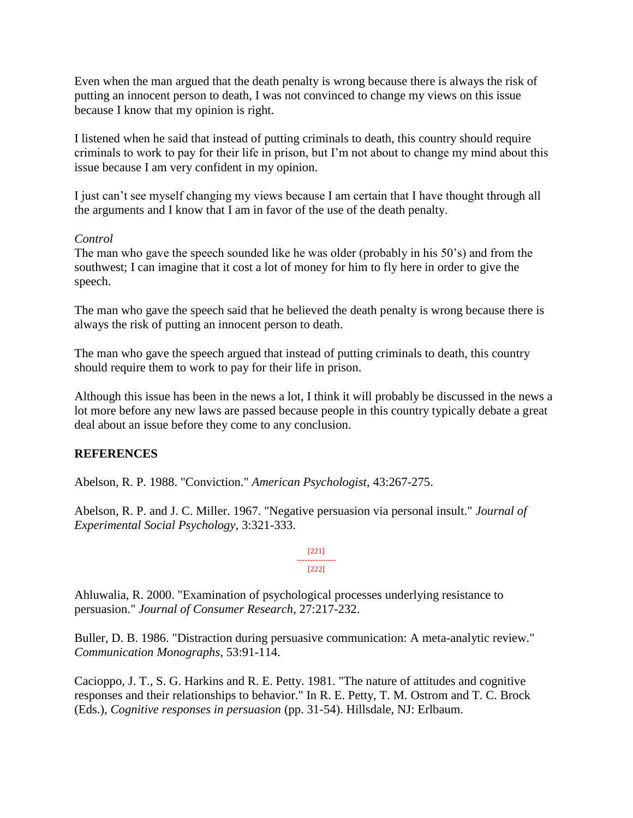Even when the man argued that the death penalty is wrong because there is always the risk of putting an innocent person to death, I was not convinced to change my views on this issue because I know that my opinion is right.

I listened when he said that instead of putting criminals to death, this country should require criminals to work to pay for their life in prison, but I'm not about to change my mind about this issue because I am very confident in my opinion.

I just can't see myself changing my views because I am certain that I have thought through all the arguments and I know that I am in favor of the use of the death penalty.

## *Control*

The man who gave the speech sounded like he was older (probably in his 50's) and from the southwest; I can imagine that it cost a lot of money for him to fly here in order to give the speech.

The man who gave the speech said that he believed the death penalty is wrong because there is always the risk of putting an innocent person to death.

The man who gave the speech argued that instead of putting criminals to death, this country should require them to work to pay for their life in prison.

Although this issue has been in the news a lot, I think it will probably be discussed in the news a lot more before any new laws are passed because people in this country typically debate a great deal about an issue before they come to any conclusion.

### **REFERENCES**

Abelson, R. P. 1988. "Conviction." *American Psychologist*, 43:267-275.

Abelson, R. P. and J. C. Miller. 1967. "Negative persuasion via personal insult." *Journal of Experimental Social Psychology*, 3:321-333.



Ahluwalia, R. 2000. "Examination of psychological processes underlying resistance to persuasion." *Journal of Consumer Research*, 27:217-232.

Buller, D. B. 1986. "Distraction during persuasive communication: A meta-analytic review." *Communication Monographs*, 53:91-114.

Cacioppo, J. T., S. G. Harkins and R. E. Petty. 1981. "The nature of attitudes and cognitive responses and their relationships to behavior." In R. E. Petty, T. M. Ostrom and T. C. Brock (Eds.), *Cognitive responses in persuasion* (pp. 31-54). Hillsdale, NJ: Erlbaum.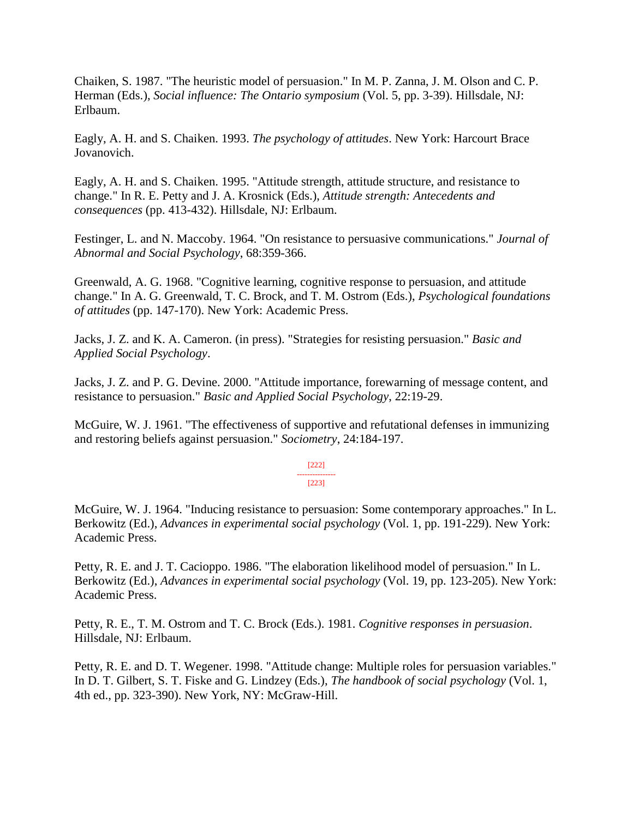Chaiken, S. 1987. "The heuristic model of persuasion." In M. P. Zanna, J. M. Olson and C. P. Herman (Eds.), *Social influence: The Ontario symposium* (Vol. 5, pp. 3-39). Hillsdale, NJ: Erlbaum.

Eagly, A. H. and S. Chaiken. 1993. *The psychology of attitudes*. New York: Harcourt Brace Jovanovich.

Eagly, A. H. and S. Chaiken. 1995. "Attitude strength, attitude structure, and resistance to change." In R. E. Petty and J. A. Krosnick (Eds.), *Attitude strength: Antecedents and consequences* (pp. 413-432). Hillsdale, NJ: Erlbaum.

Festinger, L. and N. Maccoby. 1964. "On resistance to persuasive communications." *Journal of Abnormal and Social Psychology*, 68:359-366.

Greenwald, A. G. 1968. "Cognitive learning, cognitive response to persuasion, and attitude change." In A. G. Greenwald, T. C. Brock, and T. M. Ostrom (Eds.), *Psychological foundations of attitudes* (pp. 147-170). New York: Academic Press.

Jacks, J. Z. and K. A. Cameron. (in press). "Strategies for resisting persuasion." *Basic and Applied Social Psychology*.

Jacks, J. Z. and P. G. Devine. 2000. "Attitude importance, forewarning of message content, and resistance to persuasion." *Basic and Applied Social Psychology*, 22:19-29.

McGuire, W. J. 1961. "The effectiveness of supportive and refutational defenses in immunizing and restoring beliefs against persuasion." *Sociometry*, 24:184-197.

> [222] --------------- [223]

McGuire, W. J. 1964. "Inducing resistance to persuasion: Some contemporary approaches." In L. Berkowitz (Ed.), *Advances in experimental social psychology* (Vol. 1, pp. 191-229). New York: Academic Press.

Petty, R. E. and J. T. Cacioppo. 1986. "The elaboration likelihood model of persuasion." In L. Berkowitz (Ed.), *Advances in experimental social psychology* (Vol. 19, pp. 123-205). New York: Academic Press.

Petty, R. E., T. M. Ostrom and T. C. Brock (Eds.). 1981. *Cognitive responses in persuasion*. Hillsdale, NJ: Erlbaum.

Petty, R. E. and D. T. Wegener. 1998. "Attitude change: Multiple roles for persuasion variables." In D. T. Gilbert, S. T. Fiske and G. Lindzey (Eds.), *The handbook of social psychology* (Vol. 1, 4th ed., pp. 323-390). New York, NY: McGraw-Hill.